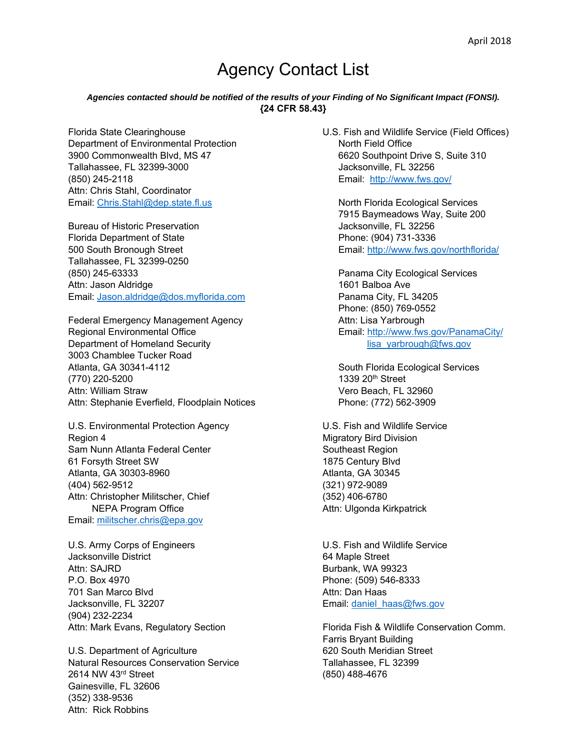## Agency Contact List

## *Agencies contacted should be notified of the results of your Finding of No Significant Impact (FONSI).*  **{24 CFR 58.43}**

Department of Environmental Protection North Field Office 3900 Commonwealth Blvd, MS 47 6620 Southpoint Drive S, Suite 310 Tallahassee, FL 32399-3000 Jacksonville, FL 32256 (850) 245-2118 Email: http://www.fws.gov/ Attn: Chris Stahl, Coordinator Email: Chris.Stahl@dep.state.fl.us North Florida Ecological Services

Bureau of Historic Preservation **Jacksonville, FL 32256** Florida Department of State Phone: (904) 731-3336 500 South Bronough Street Email: http://www.fws.gov/northflorida/ Tallahassee, FL 32399-0250 (850) 245-63333 Panama City Ecological Services Attn: Jason Aldridge 1601 Balboa Ave Email: Jason.aldridge@dos.myflorida.com Panama City, FL 34205

Federal Emergency Management Agency Attn: Lisa Yarbrough Regional Environmental Office **Email:** http://www.fws.gov/PanamaCity/ Department of Homeland Security lisa yarbrough@fws.gov 3003 Chamblee Tucker Road Atlanta, GA 30341-4112 **Atlanta, GA 30341-4112** South Florida Ecological Services  $(770)$  220-5200 1339 20<sup>th</sup> Street Attn: William Straw **Vero Beach, FL 32960** Attn: Stephanie Everfield, Floodplain Notices Phone: (772) 562-3909

U.S. Environmental Protection Agency U.S. Fish and Wildlife Service Region 4 **Migratory Bird Division** Sam Nunn Atlanta Federal Center Southeast Region 61 Forsyth Street SW 1875 Century Blvd Atlanta, GA 30303-8960 **Atlanta**, GA 30345 (404) 562-9512 (321) 972-9089 Attn: Christopher Militscher, Chief (352) 406-6780 NEPA Program Office **Attn: Ulgonda Kirkpatrick** Email: militscher.chris@epa.gov

U.S. Army Corps of Engineers U.S. Fish and Wildlife Service Jacksonville District 64 Maple Street Attn: SAJRD Burbank, WA 99323 P.O. Box 4970 Phone: (509) 546-8333 701 San Marco Blvd **Attn:** Dan Haas Jacksonville, FL 32207 Email: daniel\_haas@fws.gov (904) 232-2234

U.S. Department of Agriculture 620 South Meridian Street Natural Resources Conservation Service Tallahassee, FL 32399 2614 NW 43rd Street (850) 488-4676 Gainesville, FL 32606 (352) 338-9536 Attn: Rick Robbins

Florida State Clearinghouse U.S. Fish and Wildlife Service (Field Offices)

7915 Baymeadows Way, Suite 200

Phone: (850) 769-0552

Attn: Mark Evans, Regulatory Section Florida Fish & Wildlife Conservation Comm. Farris Bryant Building